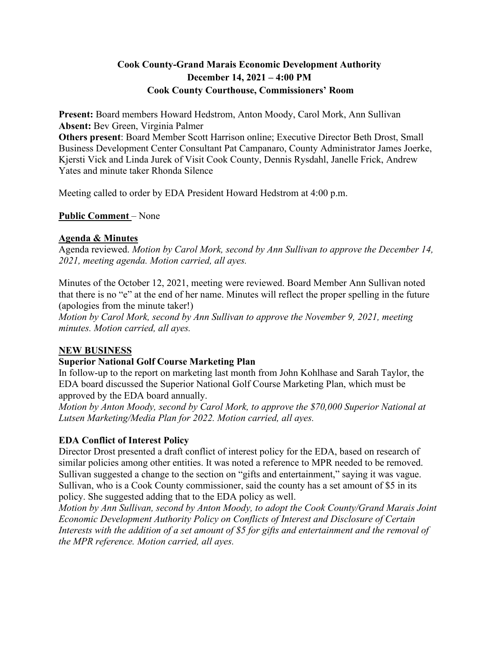# **Cook County-Grand Marais Economic Development Authority December 14, 2021 – 4:00 PM Cook County Courthouse, Commissioners' Room**

**Present:** Board members Howard Hedstrom, Anton Moody, Carol Mork, Ann Sullivan **Absent:** Bev Green, Virginia Palmer

**Others present**: Board Member Scott Harrison online; Executive Director Beth Drost, Small Business Development Center Consultant Pat Campanaro, County Administrator James Joerke, Kjersti Vick and Linda Jurek of Visit Cook County, Dennis Rysdahl, Janelle Frick, Andrew Yates and minute taker Rhonda Silence

Meeting called to order by EDA President Howard Hedstrom at 4:00 p.m.

**Public Comment** – None

# **Agenda & Minutes**

Agenda reviewed. *Motion by Carol Mork, second by Ann Sullivan to approve the December 14, 2021, meeting agenda. Motion carried, all ayes.* 

Minutes of the October 12, 2021, meeting were reviewed. Board Member Ann Sullivan noted that there is no "e" at the end of her name. Minutes will reflect the proper spelling in the future (apologies from the minute taker!)

*Motion by Carol Mork, second by Ann Sullivan to approve the November 9, 2021, meeting minutes. Motion carried, all ayes.* 

# **NEW BUSINESS**

# **Superior National Golf Course Marketing Plan**

In follow-up to the report on marketing last month from John Kohlhase and Sarah Taylor, the EDA board discussed the Superior National Golf Course Marketing Plan, which must be approved by the EDA board annually.

*Motion by Anton Moody, second by Carol Mork, to approve the \$70,000 Superior National at Lutsen Marketing/Media Plan for 2022. Motion carried, all ayes.* 

# **EDA Conflict of Interest Policy**

Director Drost presented a draft conflict of interest policy for the EDA, based on research of similar policies among other entities. It was noted a reference to MPR needed to be removed. Sullivan suggested a change to the section on "gifts and entertainment," saying it was vague. Sullivan, who is a Cook County commissioner, said the county has a set amount of \$5 in its policy. She suggested adding that to the EDA policy as well.

*Motion by Ann Sullivan, second by Anton Moody, to adopt the Cook County/Grand Marais Joint Economic Development Authority Policy on Conflicts of Interest and Disclosure of Certain Interests with the addition of a set amount of \$5 for gifts and entertainment and the removal of the MPR reference. Motion carried, all ayes.*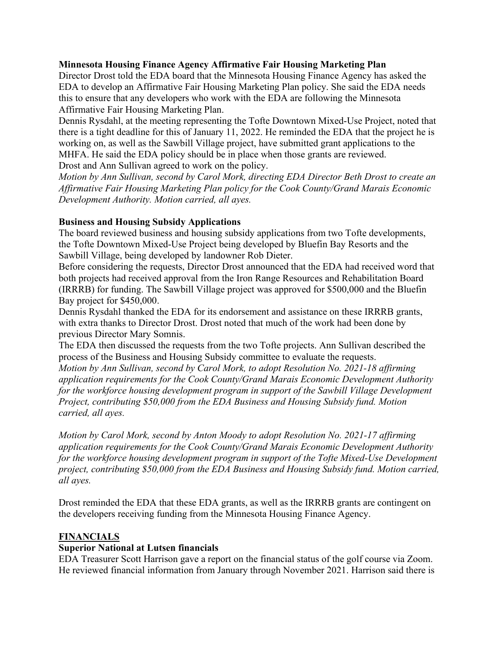#### **Minnesota Housing Finance Agency Affirmative Fair Housing Marketing Plan**

Director Drost told the EDA board that the Minnesota Housing Finance Agency has asked the EDA to develop an Affirmative Fair Housing Marketing Plan policy. She said the EDA needs this to ensure that any developers who work with the EDA are following the Minnesota Affirmative Fair Housing Marketing Plan.

Dennis Rysdahl, at the meeting representing the Tofte Downtown Mixed-Use Project, noted that there is a tight deadline for this of January 11, 2022. He reminded the EDA that the project he is working on, as well as the Sawbill Village project, have submitted grant applications to the MHFA. He said the EDA policy should be in place when those grants are reviewed. Drost and Ann Sullivan agreed to work on the policy.

*Motion by Ann Sullivan, second by Carol Mork, directing EDA Director Beth Drost to create an Affirmative Fair Housing Marketing Plan policy for the Cook County/Grand Marais Economic Development Authority. Motion carried, all ayes.* 

# **Business and Housing Subsidy Applications**

The board reviewed business and housing subsidy applications from two Tofte developments, the Tofte Downtown Mixed-Use Project being developed by Bluefin Bay Resorts and the Sawbill Village, being developed by landowner Rob Dieter.

Before considering the requests, Director Drost announced that the EDA had received word that both projects had received approval from the Iron Range Resources and Rehabilitation Board (IRRRB) for funding. The Sawbill Village project was approved for \$500,000 and the Bluefin Bay project for \$450,000.

Dennis Rysdahl thanked the EDA for its endorsement and assistance on these IRRRB grants, with extra thanks to Director Drost. Drost noted that much of the work had been done by previous Director Mary Somnis.

The EDA then discussed the requests from the two Tofte projects. Ann Sullivan described the process of the Business and Housing Subsidy committee to evaluate the requests.

*Motion by Ann Sullivan, second by Carol Mork, to adopt Resolution No. 2021-18 affirming application requirements for the Cook County/Grand Marais Economic Development Authority for the workforce housing development program in support of the Sawbill Village Development Project, contributing \$50,000 from the EDA Business and Housing Subsidy fund. Motion carried, all ayes.* 

*Motion by Carol Mork, second by Anton Moody to adopt Resolution No. 2021-17 affirming application requirements for the Cook County/Grand Marais Economic Development Authority for the workforce housing development program in support of the Tofte Mixed-Use Development project, contributing \$50,000 from the EDA Business and Housing Subsidy fund. Motion carried, all ayes.* 

Drost reminded the EDA that these EDA grants, as well as the IRRRB grants are contingent on the developers receiving funding from the Minnesota Housing Finance Agency.

# **FINANCIALS**

#### **Superior National at Lutsen financials**

EDA Treasurer Scott Harrison gave a report on the financial status of the golf course via Zoom. He reviewed financial information from January through November 2021. Harrison said there is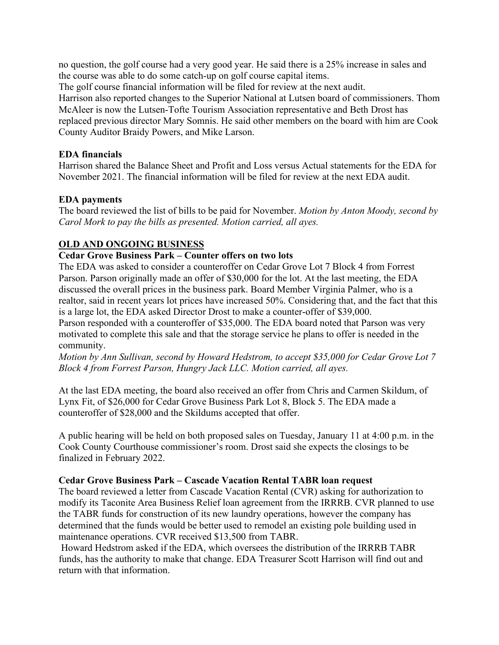no question, the golf course had a very good year. He said there is a 25% increase in sales and the course was able to do some catch-up on golf course capital items.

The golf course financial information will be filed for review at the next audit.

Harrison also reported changes to the Superior National at Lutsen board of commissioners. Thom McAleer is now the Lutsen-Tofte Tourism Association representative and Beth Drost has replaced previous director Mary Somnis. He said other members on the board with him are Cook County Auditor Braidy Powers, and Mike Larson.

### **EDA financials**

Harrison shared the Balance Sheet and Profit and Loss versus Actual statements for the EDA for November 2021. The financial information will be filed for review at the next EDA audit.

# **EDA payments**

The board reviewed the list of bills to be paid for November. *Motion by Anton Moody, second by Carol Mork to pay the bills as presented. Motion carried, all ayes.* 

# **OLD AND ONGOING BUSINESS**

# **Cedar Grove Business Park – Counter offers on two lots**

The EDA was asked to consider a counteroffer on Cedar Grove Lot 7 Block 4 from Forrest Parson. Parson originally made an offer of \$30,000 for the lot. At the last meeting, the EDA discussed the overall prices in the business park. Board Member Virginia Palmer, who is a realtor, said in recent years lot prices have increased 50%. Considering that, and the fact that this is a large lot, the EDA asked Director Drost to make a counter-offer of \$39,000.

Parson responded with a counteroffer of \$35,000. The EDA board noted that Parson was very motivated to complete this sale and that the storage service he plans to offer is needed in the community.

*Motion by Ann Sullivan, second by Howard Hedstrom, to accept \$35,000 for Cedar Grove Lot 7 Block 4 from Forrest Parson, Hungry Jack LLC. Motion carried, all ayes.* 

At the last EDA meeting, the board also received an offer from Chris and Carmen Skildum, of Lynx Fit, of \$26,000 for Cedar Grove Business Park Lot 8, Block 5. The EDA made a counteroffer of \$28,000 and the Skildums accepted that offer.

A public hearing will be held on both proposed sales on Tuesday, January 11 at 4:00 p.m. in the Cook County Courthouse commissioner's room. Drost said she expects the closings to be finalized in February 2022.

# **Cedar Grove Business Park – Cascade Vacation Rental TABR loan request**

The board reviewed a letter from Cascade Vacation Rental (CVR) asking for authorization to modify its Taconite Area Business Relief loan agreement from the IRRRB. CVR planned to use the TABR funds for construction of its new laundry operations, however the company has determined that the funds would be better used to remodel an existing pole building used in maintenance operations. CVR received \$13,500 from TABR.

Howard Hedstrom asked if the EDA, which oversees the distribution of the IRRRB TABR funds, has the authority to make that change. EDA Treasurer Scott Harrison will find out and return with that information.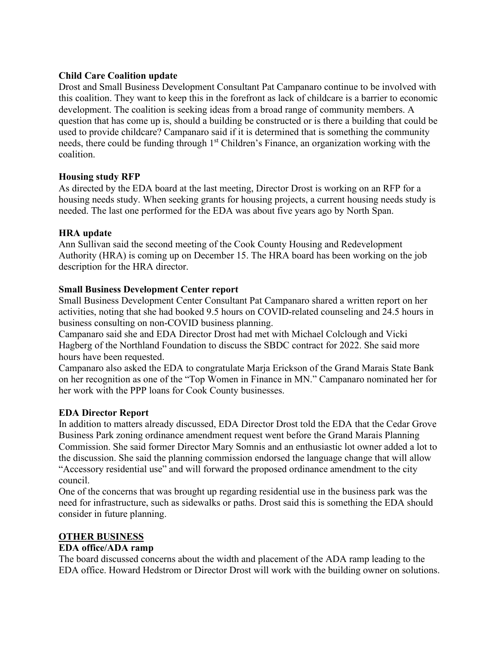#### **Child Care Coalition update**

Drost and Small Business Development Consultant Pat Campanaro continue to be involved with this coalition. They want to keep this in the forefront as lack of childcare is a barrier to economic development. The coalition is seeking ideas from a broad range of community members. A question that has come up is, should a building be constructed or is there a building that could be used to provide childcare? Campanaro said if it is determined that is something the community needs, there could be funding through 1<sup>st</sup> Children's Finance, an organization working with the coalition.

#### **Housing study RFP**

As directed by the EDA board at the last meeting, Director Drost is working on an RFP for a housing needs study. When seeking grants for housing projects, a current housing needs study is needed. The last one performed for the EDA was about five years ago by North Span.

#### **HRA update**

Ann Sullivan said the second meeting of the Cook County Housing and Redevelopment Authority (HRA) is coming up on December 15. The HRA board has been working on the job description for the HRA director.

#### **Small Business Development Center report**

Small Business Development Center Consultant Pat Campanaro shared a written report on her activities, noting that she had booked 9.5 hours on COVID-related counseling and 24.5 hours in business consulting on non-COVID business planning.

Campanaro said she and EDA Director Drost had met with Michael Colclough and Vicki Hagberg of the Northland Foundation to discuss the SBDC contract for 2022. She said more hours have been requested.

Campanaro also asked the EDA to congratulate Marja Erickson of the Grand Marais State Bank on her recognition as one of the "Top Women in Finance in MN." Campanaro nominated her for her work with the PPP loans for Cook County businesses.

# **EDA Director Report**

In addition to matters already discussed, EDA Director Drost told the EDA that the Cedar Grove Business Park zoning ordinance amendment request went before the Grand Marais Planning Commission. She said former Director Mary Somnis and an enthusiastic lot owner added a lot to the discussion. She said the planning commission endorsed the language change that will allow "Accessory residential use" and will forward the proposed ordinance amendment to the city council.

One of the concerns that was brought up regarding residential use in the business park was the need for infrastructure, such as sidewalks or paths. Drost said this is something the EDA should consider in future planning.

#### **OTHER BUSINESS**

#### **EDA office/ADA ramp**

The board discussed concerns about the width and placement of the ADA ramp leading to the EDA office. Howard Hedstrom or Director Drost will work with the building owner on solutions.